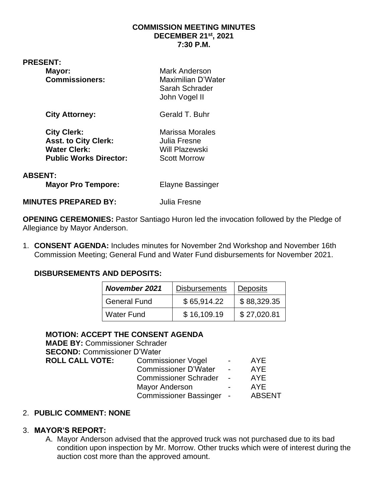#### **COMMISSION MEETING MINUTES DECEMBER 21st , 2021 7:30 P.M.**

**PRESENT:** 

| Mayor:                |
|-----------------------|
| <b>Commissioners:</b> |

**Mark Anderson Maximilian D'Water** Sarah Schrader John Vogel II

**City Attorney:** Gerald T. Buhr

**City Clerk:** Marissa Morales Asst. to City Clerk: **Julia Fresne** Water Clerk: Will Plazewski **Public Works Director:** Scott Morrow

# **ABSENT:**

**Mayor Pro Tempore:** Elayne Bassinger

**MINUTES PREPARED BY:** Julia Fresne

**OPENING CEREMONIES:** Pastor Santiago Huron led the invocation followed by the Pledge of Allegiance by Mayor Anderson.

1. **CONSENT AGENDA:** Includes minutes for November 2nd Workshop and November 16th Commission Meeting; General Fund and Water Fund disbursements for November 2021.

# **DISBURSEMENTS AND DEPOSITS:**

| <b>November 2021</b> | <b>Disbursements</b> | <b>Deposits</b> |
|----------------------|----------------------|-----------------|
| <b>General Fund</b>  | \$65,914.22          | \$88,329.35     |
| <b>Water Fund</b>    | \$16,109.19          | \$27,020.81     |

# **MOTION: ACCEPT THE CONSENT AGENDA**

**MADE BY:** Commissioner Schrader **SECOND:** Commissioner D'Water **ROLL CALL VOTE:** Commissioner Vogel - AYE Commissioner D'Water - AYE Commissioner Schrader - AYE Mayor Anderson **- AYE** Commissioner Bassinger - ABSENT

## 2. **PUBLIC COMMENT: NONE**

## 3. **MAYOR'S REPORT:**

A. Mayor Anderson advised that the approved truck was not purchased due to its bad condition upon inspection by Mr. Morrow. Other trucks which were of interest during the auction cost more than the approved amount.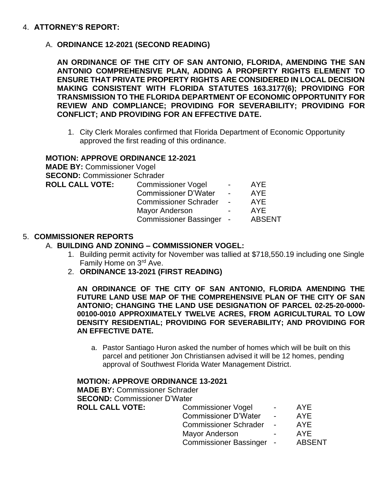### 4. **ATTORNEY'S REPORT:**

A. **ORDINANCE 12-2021 (SECOND READING)**

**AN ORDINANCE OF THE CITY OF SAN ANTONIO, FLORIDA, AMENDING THE SAN ANTONIO COMPREHENSIVE PLAN, ADDING A PROPERTY RIGHTS ELEMENT TO ENSURE THAT PRIVATE PROPERTY RIGHTS ARE CONSIDERED IN LOCAL DECISION MAKING CONSISTENT WITH FLORIDA STATUTES 163.3177(6); PROVIDING FOR TRANSMISSION TO THE FLORIDA DEPARTMENT OF ECONOMIC OPPORTUNITY FOR REVIEW AND COMPLIANCE; PROVIDING FOR SEVERABILITY; PROVIDING FOR CONFLICT; AND PROVIDING FOR AN EFFECTIVE DATE.**

1. City Clerk Morales confirmed that Florida Department of Economic Opportunity approved the first reading of this ordinance.

## **MOTION: APPROVE ORDINANCE 12-2021 MADE BY:** Commissioner Vogel **SECOND:** Commissioner Schrader **ROLL CALL VOTE:** Commissioner Vogel - AYE Commissioner D'Water - AYE

Commissioner Schrader - AYE Mayor Anderson **- AYE** Commissioner Bassinger - ABSENT

## 5. **COMMISSIONER REPORTS**

### A. **BUILDING AND ZONING – COMMISSIONER VOGEL:**

- 1. Building permit activity for November was tallied at \$718,550.19 including one Single Family Home on 3<sup>rd</sup> Ave.
- 2. **ORDINANCE 13-2021 (FIRST READING)**

**AN ORDINANCE OF THE CITY OF SAN ANTONIO, FLORIDA AMENDING THE FUTURE LAND USE MAP OF THE COMPREHENSIVE PLAN OF THE CITY OF SAN ANTONIO; CHANGING THE LAND USE DESIGNATION OF PARCEL 02-25-20-0000- 00100-0010 APPROXIMATELY TWELVE ACRES, FROM AGRICULTURAL TO LOW DENSITY RESIDENTIAL; PROVIDING FOR SEVERABILITY; AND PROVIDING FOR AN EFFECTIVE DATE.**

a. Pastor Santiago Huron asked the number of homes which will be built on this parcel and petitioner Jon Christiansen advised it will be 12 homes, pending approval of Southwest Florida Water Management District.

#### **MOTION: APPROVE ORDINANCE 13-2021**

**MADE BY:** Commissioner Schrader **SECOND:** Commissioner D'Water **ROLL CALL VOTE:** Commissioner Vogel - AYE Commissioner D'Water - AYE Commissioner Schrader - AYE Mayor Anderson **- AYE** 

Commissioner Bassinger - ABSENT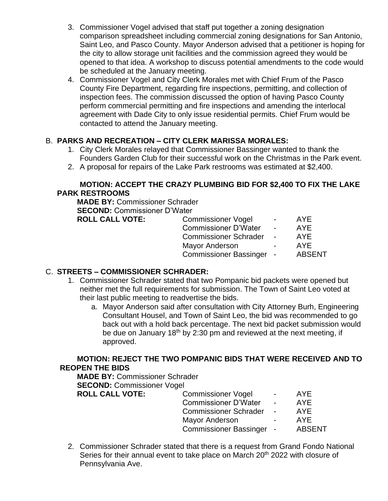- 3. Commissioner Vogel advised that staff put together a zoning designation comparison spreadsheet including commercial zoning designations for San Antonio, Saint Leo, and Pasco County. Mayor Anderson advised that a petitioner is hoping for the city to allow storage unit facilities and the commission agreed they would be opened to that idea. A workshop to discuss potential amendments to the code would be scheduled at the January meeting.
- 4. Commissioner Vogel and City Clerk Morales met with Chief Frum of the Pasco County Fire Department, regarding fire inspections, permitting, and collection of inspection fees. The commission discussed the option of having Pasco County perform commercial permitting and fire inspections and amending the interlocal agreement with Dade City to only issue residential permits. Chief Frum would be contacted to attend the January meeting.

# B. **PARKS AND RECREATION – CITY CLERK MARISSA MORALES:**

- 1. City Clerk Morales relayed that Commissioner Bassinger wanted to thank the Founders Garden Club for their successful work on the Christmas in the Park event.
- 2. A proposal for repairs of the Lake Park restrooms was estimated at \$2,400.

## **MOTION: ACCEPT THE CRAZY PLUMBING BID FOR \$2,400 TO FIX THE LAKE PARK RESTROOMS**

**MADE BY:** Commissioner Schrader **SECOND:** Commissioner D'Water **ROLL CALL VOTE** 

| E: | <b>Commissioner Vogel</b>    | AYE           |
|----|------------------------------|---------------|
|    | <b>Commissioner D'Water</b>  | AYE           |
|    | <b>Commissioner Schrader</b> | AYE           |
|    | <b>Mayor Anderson</b>        | AYE           |
|    | Commissioner Bassinger -     | <b>ABSENT</b> |

# C. **STREETS – COMMISSIONER SCHRADER:**

- 1. Commissioner Schrader stated that two Pompanic bid packets were opened but neither met the full requirements for submission. The Town of Saint Leo voted at their last public meeting to readvertise the bids.
	- a. Mayor Anderson said after consultation with City Attorney Burh, Engineering Consultant Housel, and Town of Saint Leo, the bid was recommended to go back out with a hold back percentage. The next bid packet submission would be due on January  $18<sup>th</sup>$  by 2:30 pm and reviewed at the next meeting, if approved.

# **MOTION: REJECT THE TWO POMPANIC BIDS THAT WERE RECEIVED AND TO REOPEN THE BIDS**

**MADE BY:** Commissioner Schrader **SECOND:** Commissioner Vogel **ROLL CALL VOTE:** 

| <b>Commissioner Vogel</b>     | $\blacksquare$           | AYE.          |
|-------------------------------|--------------------------|---------------|
| <b>Commissioner D'Water</b>   | $\overline{\phantom{0}}$ | <b>AYE</b>    |
| <b>Commissioner Schrader</b>  |                          | <b>AYE</b>    |
| <b>Mayor Anderson</b>         |                          | <b>AYE</b>    |
| <b>Commissioner Bassinger</b> |                          | <b>ABSENT</b> |
|                               |                          |               |

2. Commissioner Schrader stated that there is a request from Grand Fondo National Series for their annual event to take place on March 20<sup>th</sup> 2022 with closure of Pennsylvania Ave.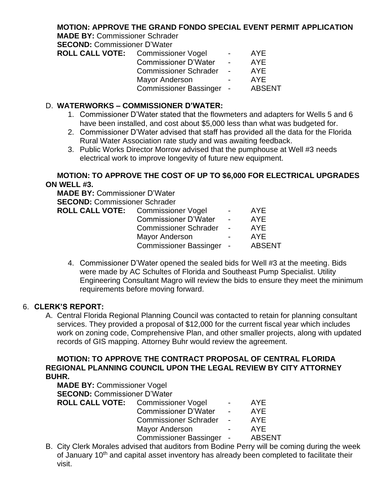## **MOTION: APPROVE THE GRAND FONDO SPECIAL EVENT PERMIT APPLICATION**

**MADE BY:** Commissioner Schrader

**SECOND:** Commissioner D'Water

| <b>ROLL CALL VOTE:</b> | <b>Commissioner Vogel</b>    | $\sim$         | AYE.          |
|------------------------|------------------------------|----------------|---------------|
|                        | <b>Commissioner D'Water</b>  | $\overline{a}$ | <b>AYE</b>    |
|                        | <b>Commissioner Schrader</b> | $\sim$         | AYF           |
|                        | <b>Mayor Anderson</b>        | $\sim$         | AYF           |
|                        | Commissioner Bassinger -     |                | <b>ABSENT</b> |
|                        |                              |                |               |

### D. **WATERWORKS – COMMISSIONER D'WATER:**

- 1. Commissioner D'Water stated that the flowmeters and adapters for Wells 5 and 6 have been installed, and cost about \$5,000 less than what was budgeted for.
- 2. Commissioner D'Water advised that staff has provided all the data for the Florida Rural Water Association rate study and was awaiting feedback.
- 3. Public Works Director Morrow advised that the pumphouse at Well #3 needs electrical work to improve longevity of future new equipment.

## **MOTION: TO APPROVE THE COST OF UP TO \$6,000 FOR ELECTRICAL UPGRADES ON WELL #3.**

**MADE BY:** Commissioner D'Water **SECOND:** Commissioner Schrader

| <b>ROLL CALL VOTE:</b> Commissioner Vogel | <b>Contract Contract</b> | <b>AYE</b>    |
|-------------------------------------------|--------------------------|---------------|
| <b>Commissioner D'Water</b>               | $\sim$                   | <b>AYE</b>    |
| <b>Commissioner Schrader</b>              | $\sim$ $-$               | AYF           |
| Mayor Anderson                            | $\sim$                   | AYF           |
| Commissioner Bassinger -                  |                          | <b>ABSENT</b> |
|                                           |                          |               |

4. Commissioner D'Water opened the sealed bids for Well #3 at the meeting. Bids were made by AC Schultes of Florida and Southeast Pump Specialist. Utility Engineering Consultant Magro will review the bids to ensure they meet the minimum requirements before moving forward.

## 6. **CLERK'S REPORT:**

A. Central Florida Regional Planning Council was contacted to retain for planning consultant services. They provided a proposal of \$12,000 for the current fiscal year which includes work on zoning code, Comprehensive Plan, and other smaller projects, along with updated records of GIS mapping. Attorney Buhr would review the agreement.

### **MOTION: TO APPROVE THE CONTRACT PROPOSAL OF CENTRAL FLORIDA REGIONAL PLANNING COUNCIL UPON THE LEGAL REVIEW BY CITY ATTORNEY BUHR.**

| <b>MADE BY: Commissioner Vogel</b>  |                                           |                 |               |
|-------------------------------------|-------------------------------------------|-----------------|---------------|
| <b>SECOND: Commissioner D'Water</b> |                                           |                 |               |
|                                     | <b>ROLL CALL VOTE:</b> Commissioner Vogel | $\sim$ 10 $\pm$ | AYE.          |
|                                     | <b>Commissioner D'Water</b>               | $\sim$ 10 $\pm$ | <b>AYE</b>    |
|                                     | Commissioner Schrader -                   |                 | <b>AYE</b>    |
|                                     | <b>Mayor Anderson</b>                     |                 | <b>AYE</b>    |
|                                     | Commissioner Bassinger -                  |                 | <b>ABSENT</b> |

B. City Clerk Morales advised that auditors from Bodine Perry will be coming during the week of January 10<sup>th</sup> and capital asset inventory has already been completed to facilitate their visit.